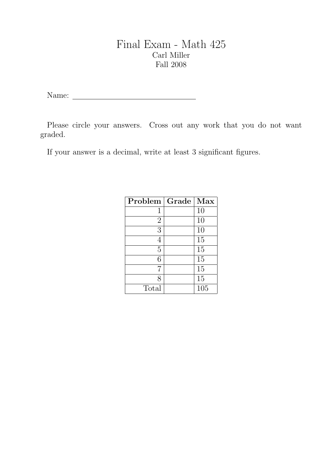## Final Exam - Math 425 Carl Miller Fall 2008

Name:

Please circle your answers. Cross out any work that you do not want graded.

If your answer is a decimal, write at least 3 significant figures.

| Problem        | Grade | Max |
|----------------|-------|-----|
| $\mathbf{1}$   |       | 10  |
| $\overline{2}$ |       | 10  |
| 3              |       | 10  |
| 4              |       | 15  |
| 5              |       | 15  |
| 6              |       | 15  |
| 7              |       | 15  |
| 8              |       | 15  |
| Total          |       | 105 |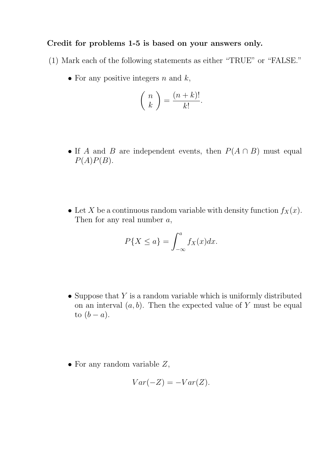## Credit for problems 1-5 is based on your answers only.

- (1) Mark each of the following statements as either "TRUE" or "FALSE."
	- For any positive integers  $n$  and  $k$ ,

$$
\binom{n}{k} = \frac{(n+k)!}{k!}.
$$

- If A and B are independent events, then  $P(A \cap B)$  must equal  $P(A)P(B)$ .
- Let X be a continuous random variable with density function  $f_X(x)$ . Then for any real number  $a$ ,

$$
P\{X \le a\} = \int_{-\infty}^{a} f_X(x) dx.
$$

- Suppose that  $Y$  is a random variable which is uniformly distributed on an interval  $(a, b)$ . Then the expected value of Y must be equal to  $(b - a)$ .
- For any random variable  $Z$ ,

$$
Var(-Z) = -Var(Z).
$$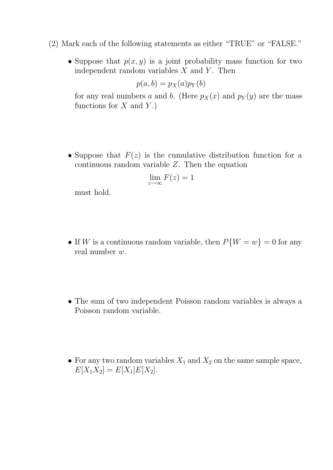- (2) Mark each of the following statements as either "TRUE" or "FALSE."
	- Suppose that  $p(x, y)$  is a joint probability mass function for two independent random variables  $X$  and  $Y$ . Then

$$
p(a,b) = p_X(a)p_Y(b)
$$

for any real numbers a and b. (Here  $p_X(x)$  and  $p_Y(y)$  are the mass functions for  $X$  and  $Y$ .)

• Suppose that  $F(z)$  is the cumulative distribution function for a continuous random variable Z. Then the equation

$$
\lim_{z \to \infty} F(z) = 1
$$

must hold.

- If W is a continuous random variable, then  $P\{W = w\} = 0$  for any real number w.
- The sum of two independent Poisson random variables is always a Poisson random variable.
- For any two random variables  $X_1$  and  $X_2$  on the same sample space,  $E[X_1X_2] = E[X_1]E[X_2].$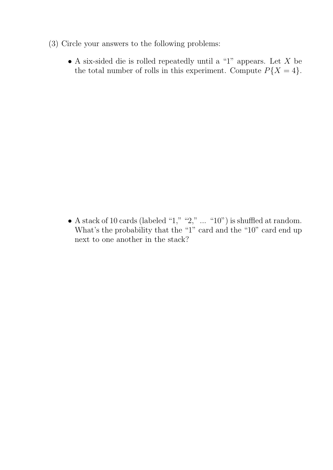- (3) Circle your answers to the following problems:
	- $\bullet$  A six-sided die is rolled repeatedly until a "1" appears. Let  $X$  be the total number of rolls in this experiment. Compute  $P\{X=4\}$ .

• A stack of 10 cards (labeled "1," "2," ... "10") is shuffled at random. What's the probability that the "1" card and the "10" card end up next to one another in the stack?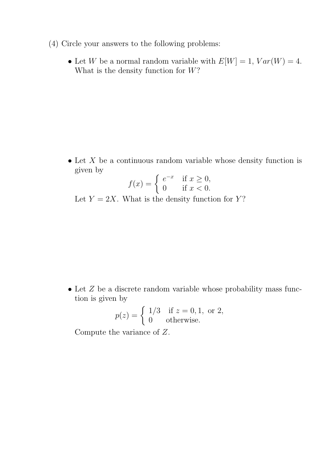- (4) Circle your answers to the following problems:
	- Let W be a normal random variable with  $E[W] = 1$ ,  $Var(W) = 4$ . What is the density function for  $W$ ?

 $\bullet$  Let X be a continuous random variable whose density function is given by

$$
f(x) = \begin{cases} e^{-x} & \text{if } x \ge 0, \\ 0 & \text{if } x < 0. \end{cases}
$$

Let  $Y = 2X$ . What is the density function for Y?

 $\bullet$  Let  $Z$  be a discrete random variable whose probability mass function is given by

$$
p(z) = \begin{cases} 1/3 & \text{if } z = 0, 1, \text{ or } 2, \\ 0 & \text{otherwise.} \end{cases}
$$

Compute the variance of Z.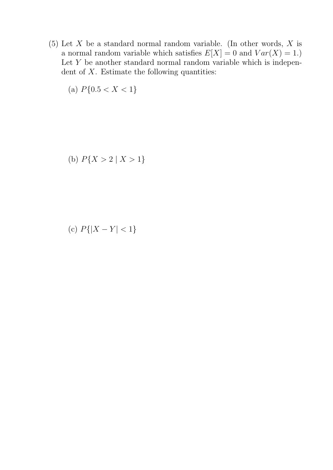(5) Let  $X$  be a standard normal random variable. (In other words,  $X$  is a normal random variable which satisfies  $E[X] = 0$  and  $Var(X) = 1$ .) Let  $Y$  be another standard normal random variable which is independent of  $X$ . Estimate the following quantities:

(a) 
$$
P{0.5 < X < 1}
$$

(b) 
$$
P\{X > 2 \mid X > 1\}
$$

(c) 
$$
P\{|X - Y| < 1\}
$$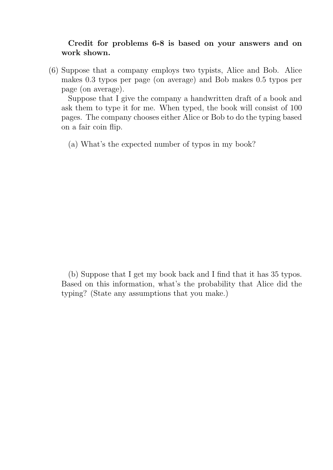## Credit for problems 6-8 is based on your answers and on work shown.

(6) Suppose that a company employs two typists, Alice and Bob. Alice makes 0.3 typos per page (on average) and Bob makes 0.5 typos per page (on average).

Suppose that I give the company a handwritten draft of a book and ask them to type it for me. When typed, the book will consist of 100 pages. The company chooses either Alice or Bob to do the typing based on a fair coin flip.

(a) What's the expected number of typos in my book?

(b) Suppose that I get my book back and I find that it has 35 typos. Based on this information, what's the probability that Alice did the typing? (State any assumptions that you make.)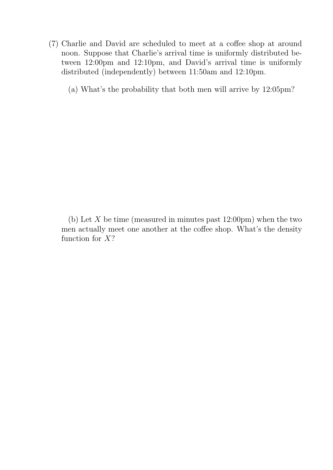(7) Charlie and David are scheduled to meet at a coffee shop at around noon. Suppose that Charlie's arrival time is uniformly distributed between 12:00pm and 12:10pm, and David's arrival time is uniformly distributed (independently) between 11:50am and 12:10pm.

(a) What's the probability that both men will arrive by 12:05pm?

(b) Let  $X$  be time (measured in minutes past  $12:00 \text{pm}$ ) when the two men actually meet one another at the coffee shop. What's the density function for  $X$ ?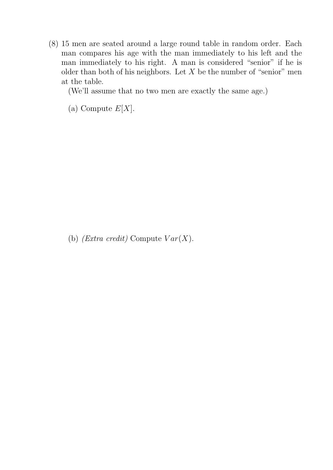(8) 15 men are seated around a large round table in random order. Each man compares his age with the man immediately to his left and the man immediately to his right. A man is considered "senior" if he is older than both of his neighbors. Let  $X$  be the number of "senior" men at the table.

(We'll assume that no two men are exactly the same age.)

(a) Compute  $E[X]$ .

(b) (Extra credit) Compute  $Var(X)$ .